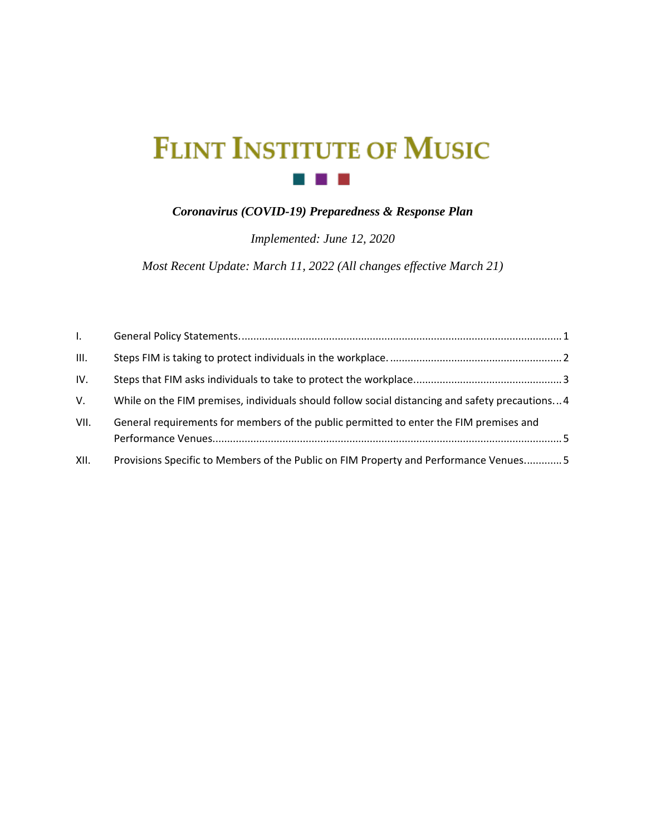# **FLINT INSTITUTE OF MUSIC**  $\sim 10^{11}$  m  $^{-1}$

### *Coronavirus (COVID-19) Preparedness & Response Plan*

*Implemented: June 12, 2020*

*Most Recent Update: March 11, 2022 (All changes effective March 21)*

| $L$ . |                                                                                                 |
|-------|-------------------------------------------------------------------------------------------------|
| III.  |                                                                                                 |
| IV.   |                                                                                                 |
| V.    | While on the FIM premises, individuals should follow social distancing and safety precautions 4 |
| VII.  | General requirements for members of the public permitted to enter the FIM premises and          |
| XII.  | Provisions Specific to Members of the Public on FIM Property and Performance Venues 5           |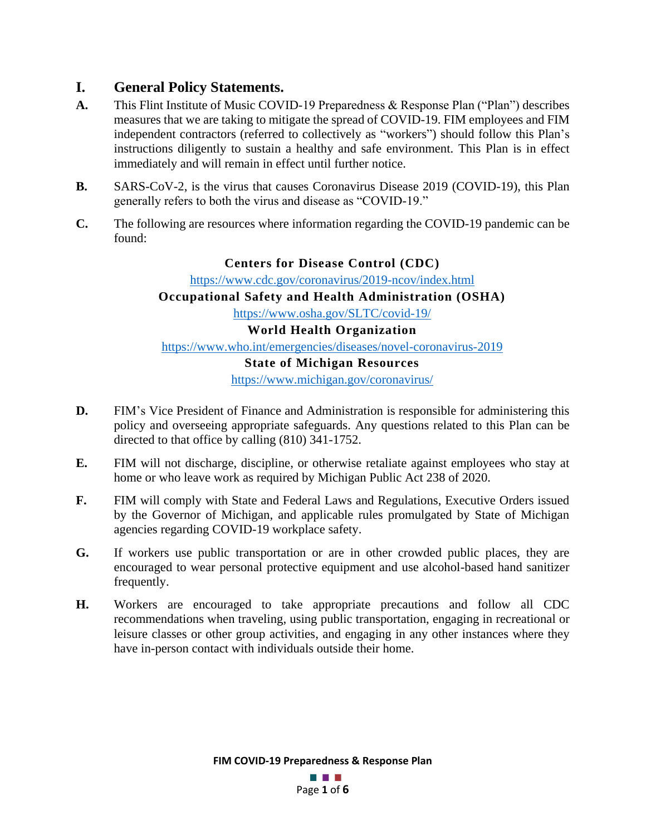### <span id="page-1-0"></span>**I. General Policy Statements.**

- **A.** This Flint Institute of Music COVID-19 Preparedness & Response Plan ("Plan") describes measures that we are taking to mitigate the spread of COVID-19. FIM employees and FIM independent contractors (referred to collectively as "workers") should follow this Plan's instructions diligently to sustain a healthy and safe environment. This Plan is in effect immediately and will remain in effect until further notice.
- **B.** SARS-CoV-2, is the virus that causes Coronavirus Disease 2019 (COVID-19), this Plan generally refers to both the virus and disease as "COVID-19."
- **C.** The following are resources where information regarding the COVID-19 pandemic can be found:

### **Centers for Disease Control (CDC)**

<https://www.cdc.gov/coronavirus/2019-ncov/index.html>

### **Occupational Safety and Health Administration (OSHA)**

<https://www.osha.gov/SLTC/covid-19/>

### **World Health Organization**

<https://www.who.int/emergencies/diseases/novel-coronavirus-2019>

### **State of Michigan Resources**

<https://www.michigan.gov/coronavirus/>

- **D.** FIM's Vice President of Finance and Administration is responsible for administering this policy and overseeing appropriate safeguards. Any questions related to this Plan can be directed to that office by calling (810) 341-1752.
- **E.** FIM will not discharge, discipline, or otherwise retaliate against employees who stay at home or who leave work as required by Michigan Public Act 238 of 2020.
- **F.** FIM will comply with State and Federal Laws and Regulations, Executive Orders issued by the Governor of Michigan, and applicable rules promulgated by State of Michigan agencies regarding COVID-19 workplace safety.
- **G.** If workers use public transportation or are in other crowded public places, they are encouraged to wear personal protective equipment and use alcohol-based hand sanitizer frequently.
- **H.** Workers are encouraged to take appropriate precautions and follow all CDC recommendations when traveling, using public transportation, engaging in recreational or leisure classes or other group activities, and engaging in any other instances where they have in-person contact with individuals outside their home.

**FIM COVID-19 Preparedness & Response Plan**

a a s Page **1** of **6**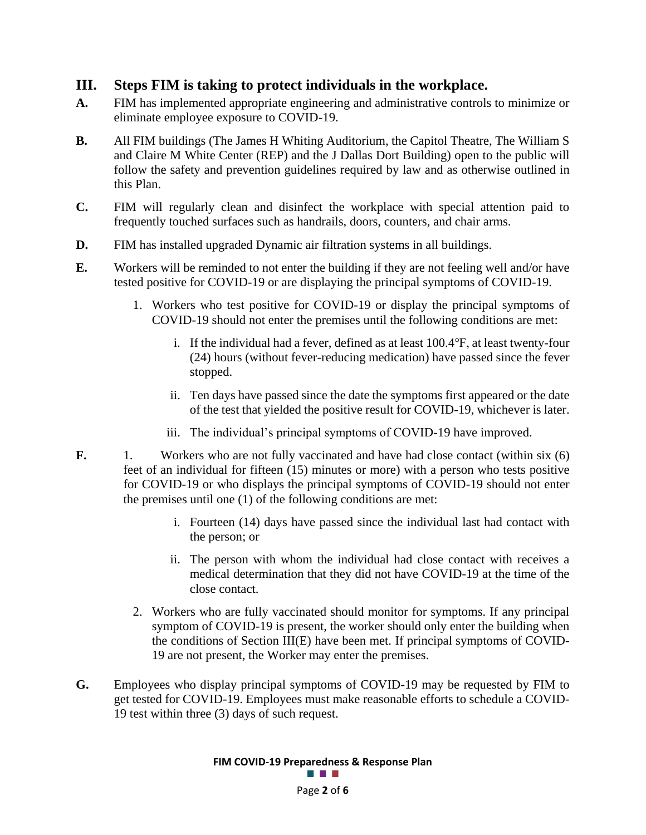### <span id="page-2-0"></span>**III. Steps FIM is taking to protect individuals in the workplace.**

- **A.** FIM has implemented appropriate engineering and administrative controls to minimize or eliminate employee exposure to COVID-19.
- **B.** All FIM buildings (The James H Whiting Auditorium, the Capitol Theatre, The William S and Claire M White Center (REP) and the J Dallas Dort Building) open to the public will follow the safety and prevention guidelines required by law and as otherwise outlined in this Plan.
- **C.** FIM will regularly clean and disinfect the workplace with special attention paid to frequently touched surfaces such as handrails, doors, counters, and chair arms.
- **D.** FIM has installed upgraded Dynamic air filtration systems in all buildings.
- **E.** Workers will be reminded to not enter the building if they are not feeling well and/or have tested positive for COVID-19 or are displaying the principal symptoms of COVID-19.
	- 1. Workers who test positive for COVID-19 or display the principal symptoms of COVID-19 should not enter the premises until the following conditions are met:
		- i. If the individual had a fever, defined as at least 100.4℉, at least twenty-four (24) hours (without fever-reducing medication) have passed since the fever stopped.
		- ii. Ten days have passed since the date the symptoms first appeared or the date of the test that yielded the positive result for COVID-19, whichever is later.
		- iii. The individual's principal symptoms of COVID-19 have improved.
- **F.** 1. Workers who are not fully vaccinated and have had close contact (within six (6) feet of an individual for fifteen (15) minutes or more) with a person who tests positive for COVID-19 or who displays the principal symptoms of COVID-19 should not enter the premises until one (1) of the following conditions are met:
	- i. Fourteen (14) days have passed since the individual last had contact with the person; or
	- ii. The person with whom the individual had close contact with receives a medical determination that they did not have COVID-19 at the time of the close contact.
	- 2. Workers who are fully vaccinated should monitor for symptoms. If any principal symptom of COVID-19 is present, the worker should only enter the building when the conditions of Section III(E) have been met. If principal symptoms of COVID-19 are not present, the Worker may enter the premises.
- **G.** Employees who display principal symptoms of COVID-19 may be requested by FIM to get tested for COVID-19. Employees must make reasonable efforts to schedule a COVID-19 test within three (3) days of such request.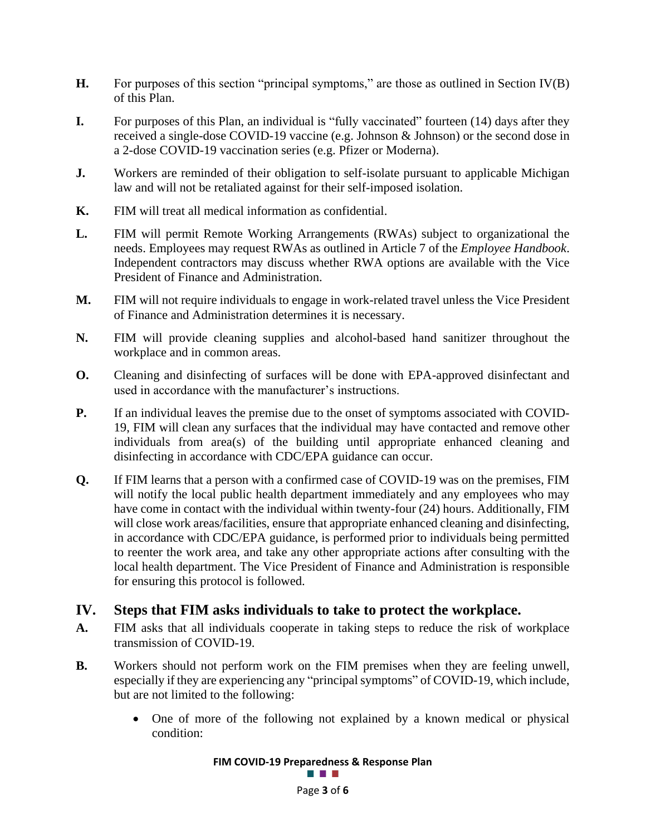- **H.** For purposes of this section "principal symptoms," are those as outlined in Section IV(B) of this Plan.
- **I.** For purposes of this Plan, an individual is "fully vaccinated" fourteen (14) days after they received a single-dose COVID-19 vaccine (e.g. Johnson & Johnson) or the second dose in a 2-dose COVID-19 vaccination series (e.g. Pfizer or Moderna).
- **J.** Workers are reminded of their obligation to self-isolate pursuant to applicable Michigan law and will not be retaliated against for their self-imposed isolation.
- **K.** FIM will treat all medical information as confidential.
- **L.** FIM will permit Remote Working Arrangements (RWAs) subject to organizational the needs. Employees may request RWAs as outlined in Article 7 of the *Employee Handbook*. Independent contractors may discuss whether RWA options are available with the Vice President of Finance and Administration.
- **M.** FIM will not require individuals to engage in work-related travel unless the Vice President of Finance and Administration determines it is necessary.
- **N.** FIM will provide cleaning supplies and alcohol-based hand sanitizer throughout the workplace and in common areas.
- **O.** Cleaning and disinfecting of surfaces will be done with EPA-approved disinfectant and used in accordance with the manufacturer's instructions.
- **P.** If an individual leaves the premise due to the onset of symptoms associated with COVID-19, FIM will clean any surfaces that the individual may have contacted and remove other individuals from area(s) of the building until appropriate enhanced cleaning and disinfecting in accordance with CDC/EPA guidance can occur.
- **Q.** If FIM learns that a person with a confirmed case of COVID-19 was on the premises, FIM will notify the local public health department immediately and any employees who may have come in contact with the individual within twenty-four (24) hours. Additionally, FIM will close work areas/facilities, ensure that appropriate enhanced cleaning and disinfecting, in accordance with CDC/EPA guidance, is performed prior to individuals being permitted to reenter the work area, and take any other appropriate actions after consulting with the local health department. The Vice President of Finance and Administration is responsible for ensuring this protocol is followed.

### <span id="page-3-0"></span>**IV. Steps that FIM asks individuals to take to protect the workplace.**

- **A.** FIM asks that all individuals cooperate in taking steps to reduce the risk of workplace transmission of COVID-19.
- **B.** Workers should not perform work on the FIM premises when they are feeling unwell, especially if they are experiencing any "principal symptoms" of COVID-19, which include, but are not limited to the following:
	- One of more of the following not explained by a known medical or physical condition:

### **FIM COVID-19 Preparedness & Response Plan**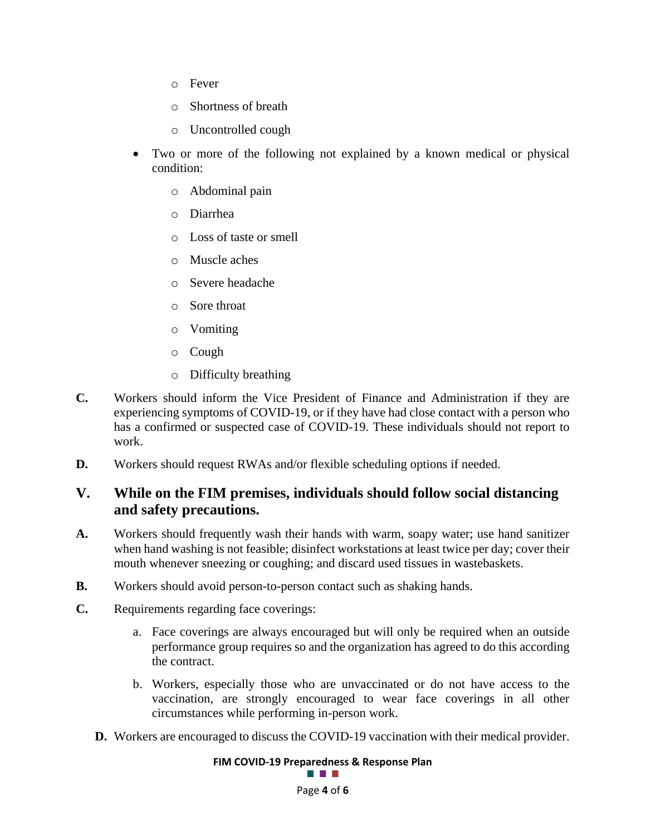- o Fever
- o Shortness of breath
- o Uncontrolled cough
- Two or more of the following not explained by a known medical or physical condition:
	- o Abdominal pain
	- o Diarrhea
	- o Loss of taste or smell
	- o Muscle aches
	- o Severe headache
	- o Sore throat
	- o Vomiting
	- o Cough
	- o Difficulty breathing
- **C.** Workers should inform the Vice President of Finance and Administration if they are experiencing symptoms of COVID-19, or if they have had close contact with a person who has a confirmed or suspected case of COVID-19. These individuals should not report to work.
- **D.** Workers should request RWAs and/or flexible scheduling options if needed.

### <span id="page-4-0"></span>**V. While on the FIM premises, individuals should follow social distancing and safety precautions.**

- **A.** Workers should frequently wash their hands with warm, soapy water; use hand sanitizer when hand washing is not feasible; disinfect workstations at least twice per day; cover their mouth whenever sneezing or coughing; and discard used tissues in wastebaskets.
- **B.** Workers should avoid person-to-person contact such as shaking hands.
- **C.** Requirements regarding face coverings:
	- a. Face coverings are always encouraged but will only be required when an outside performance group requires so and the organization has agreed to do this according the contract.
	- b. Workers, especially those who are unvaccinated or do not have access to the vaccination, are strongly encouraged to wear face coverings in all other circumstances while performing in-person work.
	- **D.** Workers are encouraged to discuss the COVID-19 vaccination with their medical provider.

# **FIM COVID-19 Preparedness & Response Plan**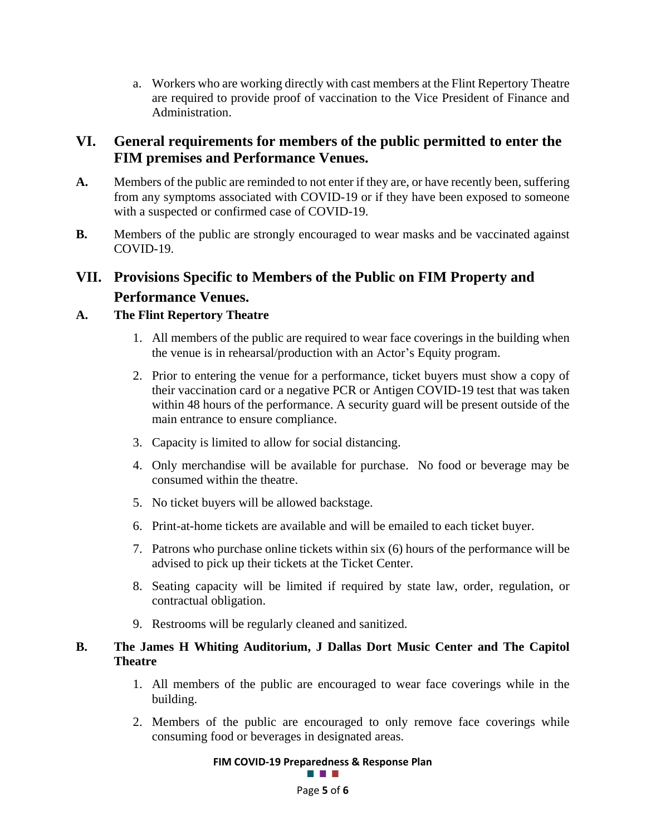a. Workers who are working directly with cast members at the Flint Repertory Theatre are required to provide proof of vaccination to the Vice President of Finance and Administration.

### <span id="page-5-0"></span>**VI. General requirements for members of the public permitted to enter the FIM premises and Performance Venues.**

- **A.** Members of the public are reminded to not enter if they are, or have recently been, suffering from any symptoms associated with COVID-19 or if they have been exposed to someone with a suspected or confirmed case of COVID-19.
- **B.** Members of the public are strongly encouraged to wear masks and be vaccinated against COVID-19.

### <span id="page-5-1"></span>**VII. Provisions Specific to Members of the Public on FIM Property and Performance Venues.**

### **A. The Flint Repertory Theatre**

- 1. All members of the public are required to wear face coverings in the building when the venue is in rehearsal/production with an Actor's Equity program.
- 2. Prior to entering the venue for a performance, ticket buyers must show a copy of their vaccination card or a negative PCR or Antigen COVID-19 test that was taken within 48 hours of the performance. A security guard will be present outside of the main entrance to ensure compliance.
- 3. Capacity is limited to allow for social distancing.
- 4. Only merchandise will be available for purchase. No food or beverage may be consumed within the theatre.
- 5. No ticket buyers will be allowed backstage.
- 6. Print-at-home tickets are available and will be emailed to each ticket buyer.
- 7. Patrons who purchase online tickets within six (6) hours of the performance will be advised to pick up their tickets at the Ticket Center.
- 8. Seating capacity will be limited if required by state law, order, regulation, or contractual obligation.
- 9. Restrooms will be regularly cleaned and sanitized.

### **B. The James H Whiting Auditorium, J Dallas Dort Music Center and The Capitol Theatre**

- 1. All members of the public are encouraged to wear face coverings while in the building.
- 2. Members of the public are encouraged to only remove face coverings while consuming food or beverages in designated areas.

# **FIM COVID-19 Preparedness & Response Plan**